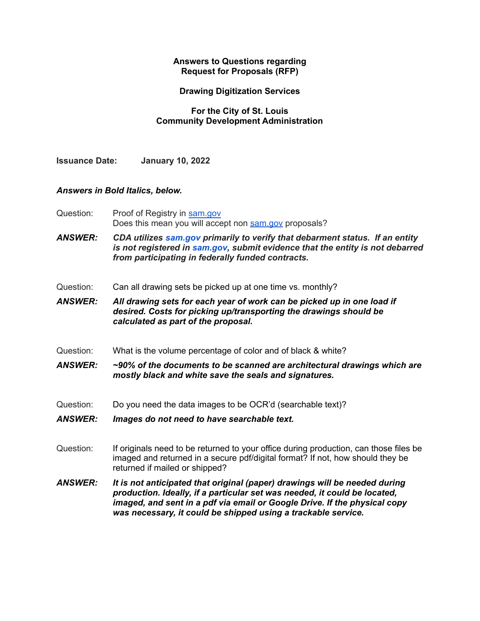## **Answers to Questions regarding Request for Proposals (RFP)**

## **Drawing Digitization Services**

## **For the City of St. Louis Community Development Administration**

**Issuance Date: January 10, 2022**

## *Answers in Bold Italics, below.*

Question: Proof of Registry in [sam.gov](http://sam.gov/) Does this mean you will accept non [sam.gov](http://sam.gov/) proposals?

*ANSWER: CDA utilizes [sam.gov](http://sam.gov/) primarily to verify that debarment status. If an entity is not registered in [sam.gov,](http://sam.gov/) submit evidence that the entity is not debarred from participating in federally funded contracts.*

- Question: Can all drawing sets be picked up at one time vs. monthly?
- *ANSWER: All drawing sets for each year of work can be picked up in one load if desired. Costs for picking up/transporting the drawings should be calculated as part of the proposal.*
- Question: What is the volume percentage of color and of black & white?

*ANSWER: ~90% of the documents to be scanned are architectural drawings which are mostly black and white save the seals and signatures.*

- Question: Do you need the data images to be OCR'd (searchable text)?
- *ANSWER: Images do not need to have searchable text.*
- Question: If originals need to be returned to your office during production, can those files be imaged and returned in a secure pdf/digital format? If not, how should they be returned if mailed or shipped?
- *ANSWER: It is not anticipated that original (paper) drawings will be needed during production. Ideally, if a particular set was needed, it could be located, imaged, and sent in a pdf via email or Google Drive. If the physical copy was necessary, it could be shipped using a trackable service.*